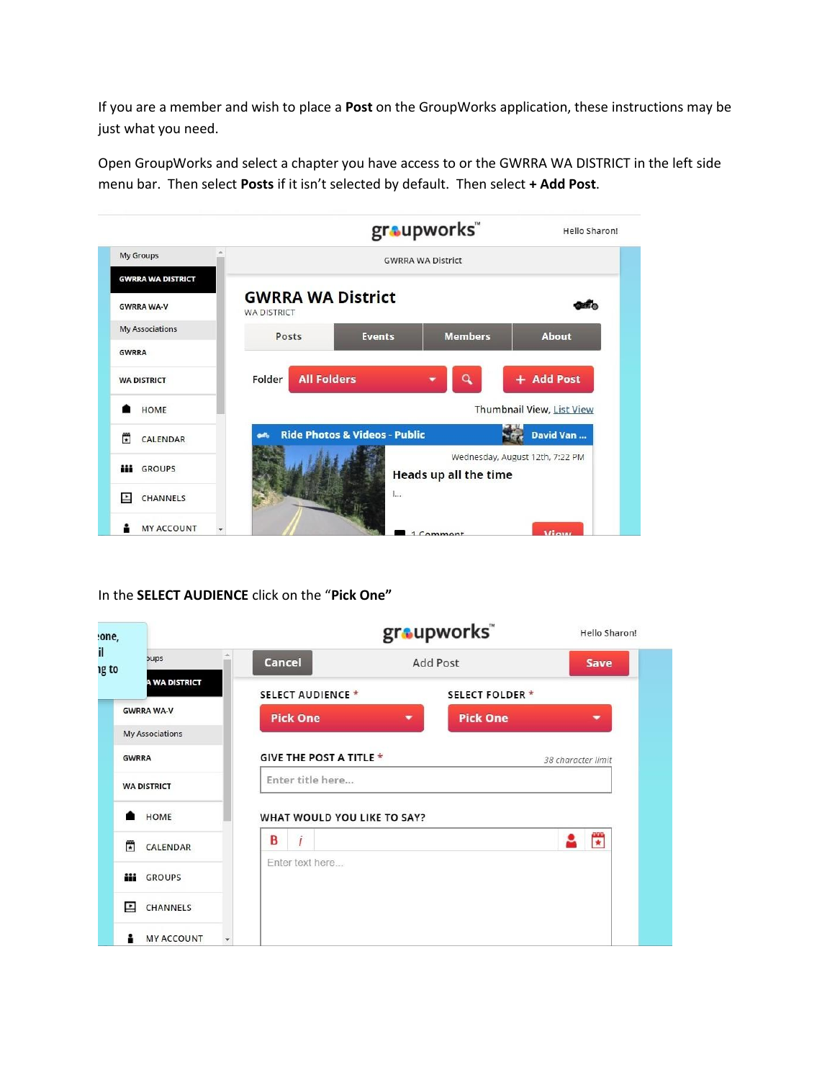If you are a member and wish to place a **Post** on the GroupWorks application, these instructions may be just what you need.

Open GroupWorks and select a chapter you have access to or the GWRRA WA DISTRICT in the left side menu bar. Then select **Posts** if it isn't selected by default. Then select **+ Add Post**.



In the **SELECT AUDIENCE** click on the "**Pick One"** 

| one,                                   |                                | groupworks"                                 | Hello Sharon!      |
|----------------------------------------|--------------------------------|---------------------------------------------|--------------------|
| <b>bups</b><br>ng to                   | <b>Cancel</b>                  | <b>Add Post</b>                             | <b>Save</b>        |
| A WA DISTRICT                          | <b>SELECT AUDIENCE*</b>        | <b>SELECT FOLDER *</b>                      |                    |
| <b>GWRRA WA-V</b>                      | <b>Pick One</b>                | <b>Pick One</b><br>$\overline{\phantom{a}}$ | ▼                  |
| <b>My Associations</b><br><b>GWRRA</b> | <b>GIVE THE POST A TITLE *</b> |                                             | 38 character limit |
| <b>WA DISTRICT</b>                     | Enter title here               |                                             |                    |
| HOME                                   |                                | WHAT WOULD YOU LIKE TO SAY?                 |                    |
| 帶<br>CALENDAR                          | B<br>$\dot{l}$                 |                                             | 置<br>2             |
| <b>iii</b> GROUPS                      | Enter text here                |                                             |                    |
| E<br>CHANNELS                          |                                |                                             |                    |
| <b>MY ACCOUNT</b>                      | $\mathbf{v}$                   |                                             |                    |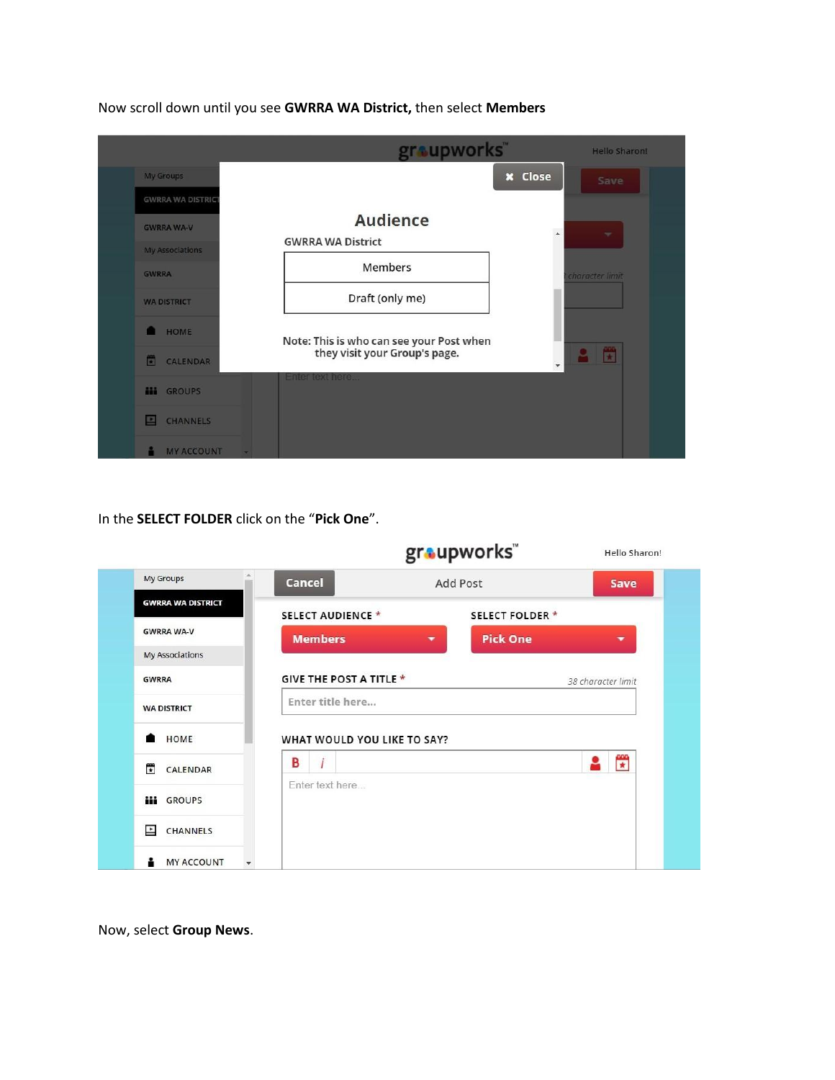|                                                  | graupworks"                              | <b>Hello Sharon!</b>          |
|--------------------------------------------------|------------------------------------------|-------------------------------|
| <b>My Groups</b>                                 | <b>x</b> Close                           | Save                          |
| <b>GWRRA WA DISTRICT</b>                         |                                          |                               |
| <b>GWRRA WA-V</b>                                | <b>Audience</b>                          | $\Delta$<br>$\mathcal{M}$     |
| <b>My Associations</b>                           | <b>GWRRA WA District</b>                 |                               |
| <b>GWRRA</b>                                     | Members                                  | character limit               |
| <b>WA DISTRICT</b>                               | Draft (only me)                          |                               |
| <b>HOME</b>                                      | Note: This is who can see your Post when |                               |
| 圖<br>CALENDAR                                    | they visit your Group's page.            | 贒<br>$\overline{\phantom{a}}$ |
| HH.<br><b>GROUPS</b>                             | Enter text here                          |                               |
| <b>CHANNELS</b><br>E                             |                                          |                               |
| <b>MY ACCOUNT</b><br>$\mathcal{L}_{\mathcal{F}}$ |                                          |                               |

Now scroll down until you see **GWRRA WA District,** then select **Members**

In the **SELECT FOLDER** click on the "**Pick One**".

|                          |                                | groupworks"                                 | Hello Sharon!            |
|--------------------------|--------------------------------|---------------------------------------------|--------------------------|
| <b>My Groups</b>         | Cancel                         | <b>Add Post</b>                             | <b>Save</b>              |
| <b>GWRRA WA DISTRICT</b> | <b>SELECT AUDIENCE *</b>       | <b>SELECT FOLDER *</b>                      |                          |
| <b>GWRRA WA-V</b>        | <b>Members</b>                 | <b>Pick One</b><br>$\overline{\phantom{a}}$ | $\overline{\phantom{a}}$ |
| <b>My Associations</b>   |                                |                                             |                          |
| <b>GWRRA</b>             | <b>GIVE THE POST A TITLE *</b> |                                             | 38 character limit       |
| <b>WA DISTRICT</b>       | Enter title here               |                                             |                          |
| <b>HOME</b>              | WHAT WOULD YOU LIKE TO SAY?    |                                             |                          |
| ÷<br>CALENDAR            | $\ddot{l}$<br>В                |                                             | $\frac{1}{\ast}$<br>≗    |
| <b>iii</b> GROUPS        | Enter text here                |                                             |                          |
| E<br>CHANNELS            |                                |                                             |                          |
| <b>MY ACCOUNT</b>        | $\mathbf{v}$                   |                                             |                          |

Now, select **Group News**.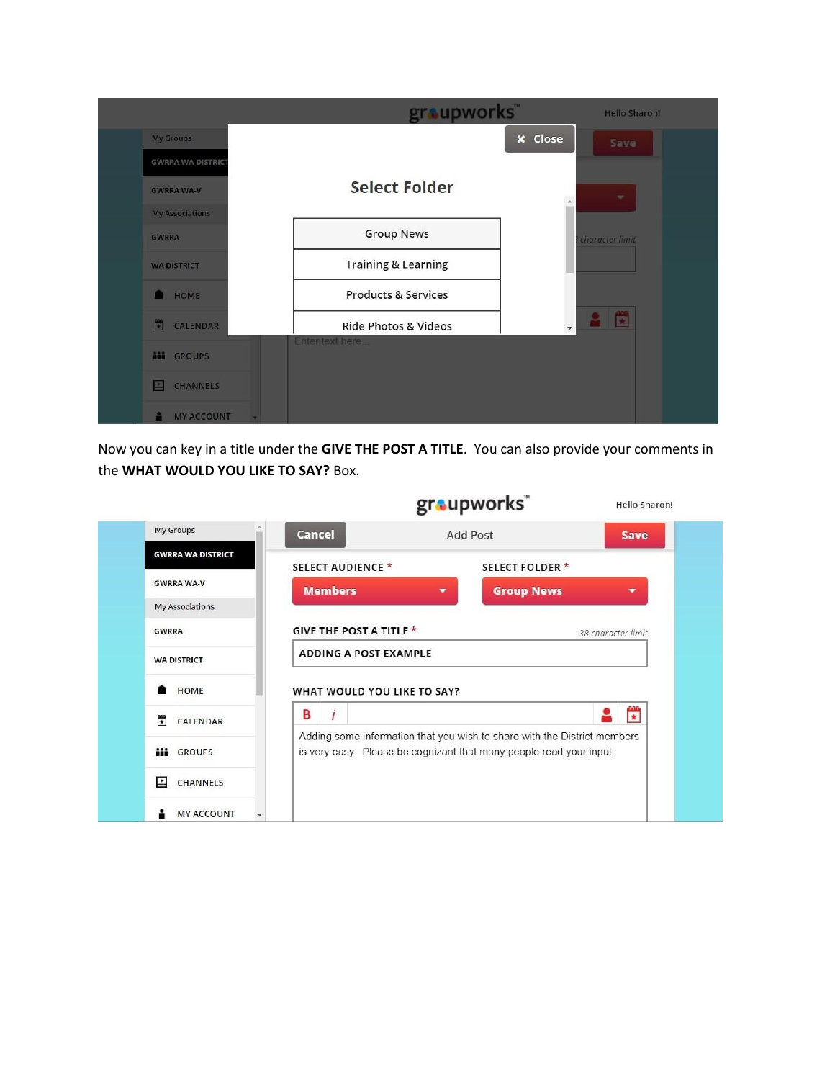|                          | graupworks"                     | <b>Hello Sharon!</b>      |
|--------------------------|---------------------------------|---------------------------|
| My Groups                |                                 | <b>x</b> Close<br>Save    |
| <b>GWRRA WA DISTRICT</b> |                                 |                           |
| <b>GWRRA WA-V</b>        | <b>Select Folder</b>            | ÷<br>$\infty$             |
| <b>My Associations</b>   |                                 |                           |
| <b>GWRRA</b>             | <b>Group News</b>               | character limit           |
| <b>WA DISTRICT</b>       | <b>Training &amp; Learning</b>  |                           |
| HOME                     | <b>Products &amp; Services</b>  |                           |
| 圖<br>CALENDAR            | <b>Ride Photos &amp; Videos</b> | 置<br>$\ddot{\phantom{0}}$ |
| m<br><b>GROUPS</b>       | Enter text here                 |                           |
| CHANNELS<br>E            |                                 |                           |
| <b>MY ACCOUNT</b>        | $\sim$                          |                           |

Now you can key in a title under the **GIVE THE POST A TITLE**. You can also provide your comments in the **WHAT WOULD YOU LIKE TO SAY?** Box.

|                                      |                                | graupworks                                                                                                                                      | Hello Sharon!      |
|--------------------------------------|--------------------------------|-------------------------------------------------------------------------------------------------------------------------------------------------|--------------------|
| <b>My Groups</b>                     | Cancel                         | Add Post                                                                                                                                        | Save               |
| <b>GWRRA WA DISTRICT</b>             | <b>SELECT AUDIENCE *</b>       | <b>SELECT FOLDER*</b>                                                                                                                           |                    |
| <b>GWRRA WA-V</b>                    | <b>Members</b>                 | <b>Group News</b><br>▼                                                                                                                          | ۰                  |
| My Associations                      |                                |                                                                                                                                                 |                    |
| <b>GWRRA</b>                         | <b>GIVE THE POST A TITLE *</b> |                                                                                                                                                 | 38 character limit |
| <b>WA DISTRICT</b>                   | <b>ADDING A POST EXAMPLE</b>   |                                                                                                                                                 |                    |
| HOME                                 | WHAT WOULD YOU LIKE TO SAY?    |                                                                                                                                                 |                    |
| $\overline{\phantom{a}}$<br>CALENDAR | B<br>İ                         |                                                                                                                                                 | 營                  |
| m<br><b>GROUPS</b>                   |                                | Adding some information that you wish to share with the District members<br>is very easy. Please be cognizant that many people read your input. |                    |
| E<br>CHANNELS                        |                                |                                                                                                                                                 |                    |
| <b>MY ACCOUNT</b>                    |                                |                                                                                                                                                 |                    |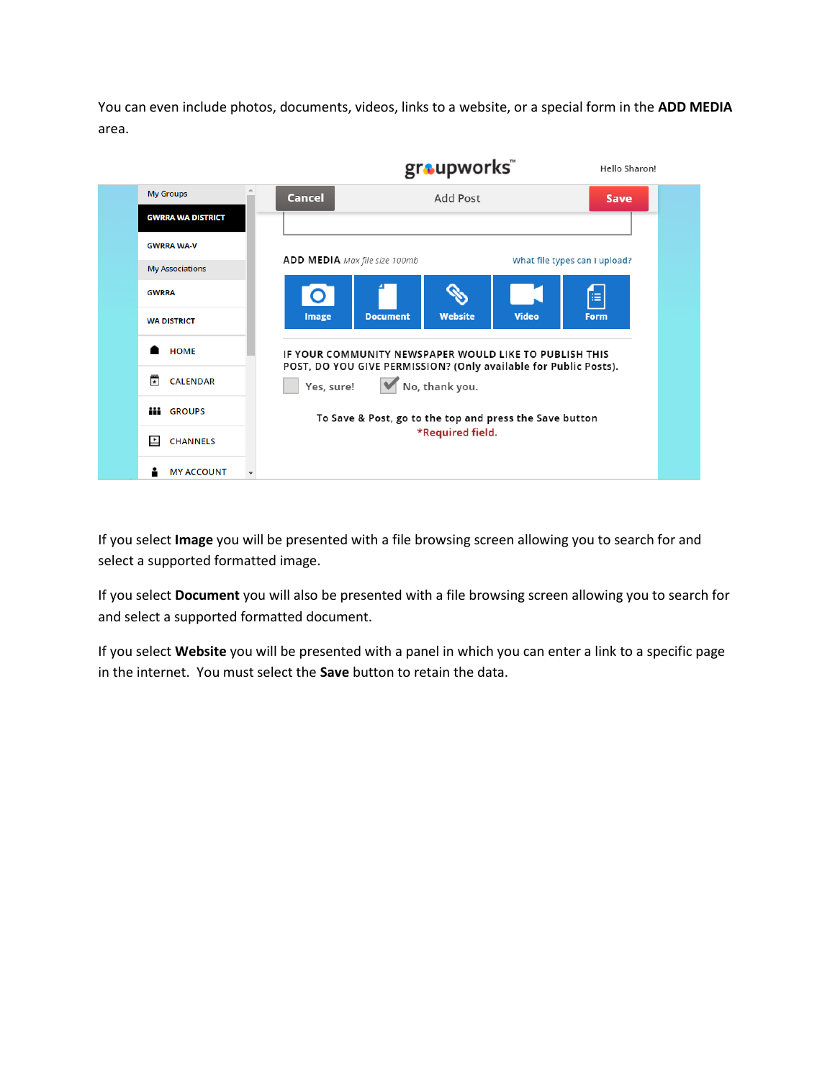You can even include photos, documents, videos, links to a website, or a special form in the **ADD MEDIA** area.



If you select **Image** you will be presented with a file browsing screen allowing you to search for and select a supported formatted image.

If you select **Document** you will also be presented with a file browsing screen allowing you to search for and select a supported formatted document.

If you select **Website** you will be presented with a panel in which you can enter a link to a specific page in the internet. You must select the **Save** button to retain the data.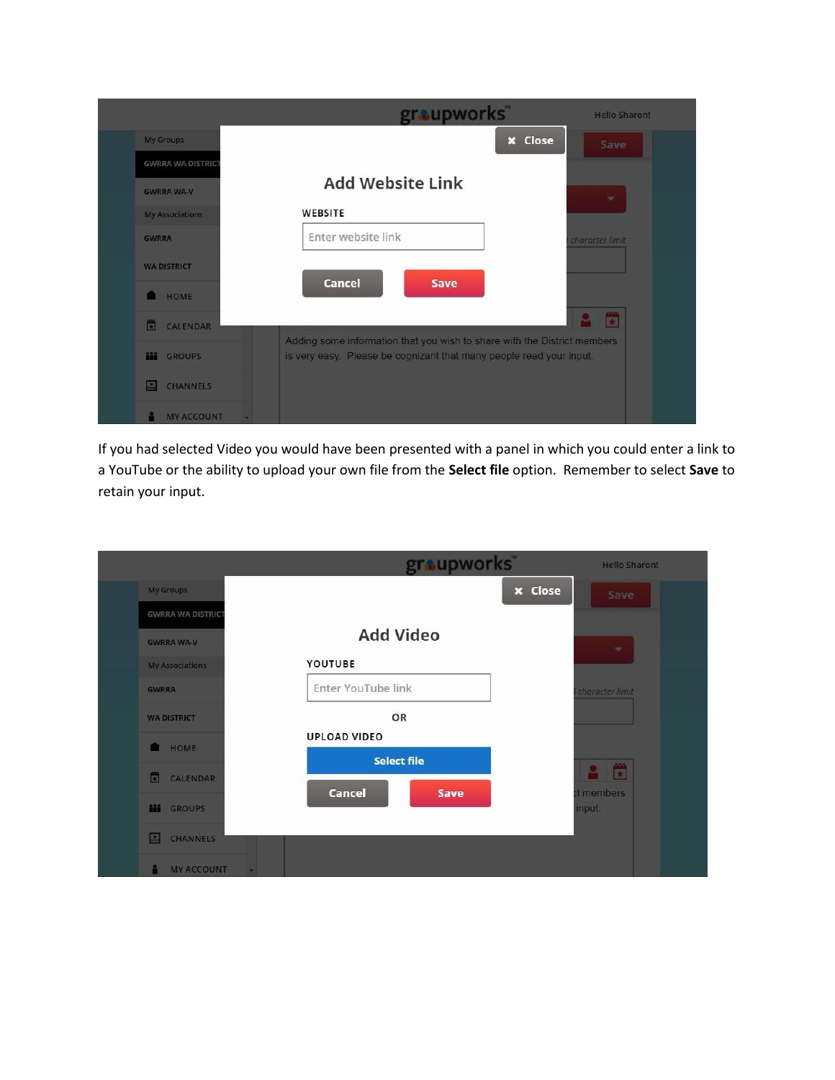|                         | groupworks"                                                              | <b>Hello Sharon!</b> |
|-------------------------|--------------------------------------------------------------------------|----------------------|
| <b>My Groups</b>        | <b>x</b> Close                                                           | Save                 |
| <b>GWRRA WA DISTRIC</b> |                                                                          |                      |
| <b>GWRRA WA-V</b>       | <b>Add Website Link</b>                                                  | ÷                    |
| <b>My Associations</b>  | WEBSITE                                                                  |                      |
| <b>GWRRA</b>            | Enter website link                                                       | character limit      |
| <b>WA DISTRICT</b>      | <b>Cancel</b><br>Save                                                    |                      |
| HOME                    |                                                                          |                      |
| <b>CALENDAR</b><br>圊    | Adding some information that you wish to share with the District members | Ë                    |
| m<br><b>GROUPS</b>      | is very easy. Please be cognizant that many people read your input.      |                      |
| <b>CHANNELS</b>         |                                                                          |                      |
| <b>MY ACCOUNT</b>       |                                                                          |                      |

If you had selected Video you would have been presented with a panel in which you could enter a link to a YouTube or the ability to upload your own file from the **Select file** option. Remember to select **Save** to retain your input.

|                                   | graupworks"           | <b>Hello Sharon!</b>                                        |
|-----------------------------------|-----------------------|-------------------------------------------------------------|
| <b>My Groups</b>                  |                       | <b>x</b> Close<br>Save                                      |
| <b>GWRRA WA DISTRICT</b>          |                       |                                                             |
| <b>GWRRA WA-V</b>                 | <b>Add Video</b>      | $\overline{\phantom{a}}$                                    |
| <b>My Associations</b>            | YOUTUBE               |                                                             |
| <b>GWRRA</b>                      | Enter YouTube link    | character limit                                             |
| <b>WA DISTRICT</b>                | OR                    |                                                             |
| HOME<br>m                         | <b>UPLOAD VIDEO</b>   |                                                             |
|                                   | <b>Select file</b>    | $\frac{\partial \partial \mathcal{L}}{\partial \mathbf{r}}$ |
| 面<br>CALENDAR                     | <b>Cancel</b><br>Save | t members                                                   |
| <b>GROUPS</b><br>m                |                       | input.                                                      |
| <b>CHANNELS</b><br>F              |                       |                                                             |
| <b>MY ACCOUNT</b><br>$\mathbf{r}$ |                       |                                                             |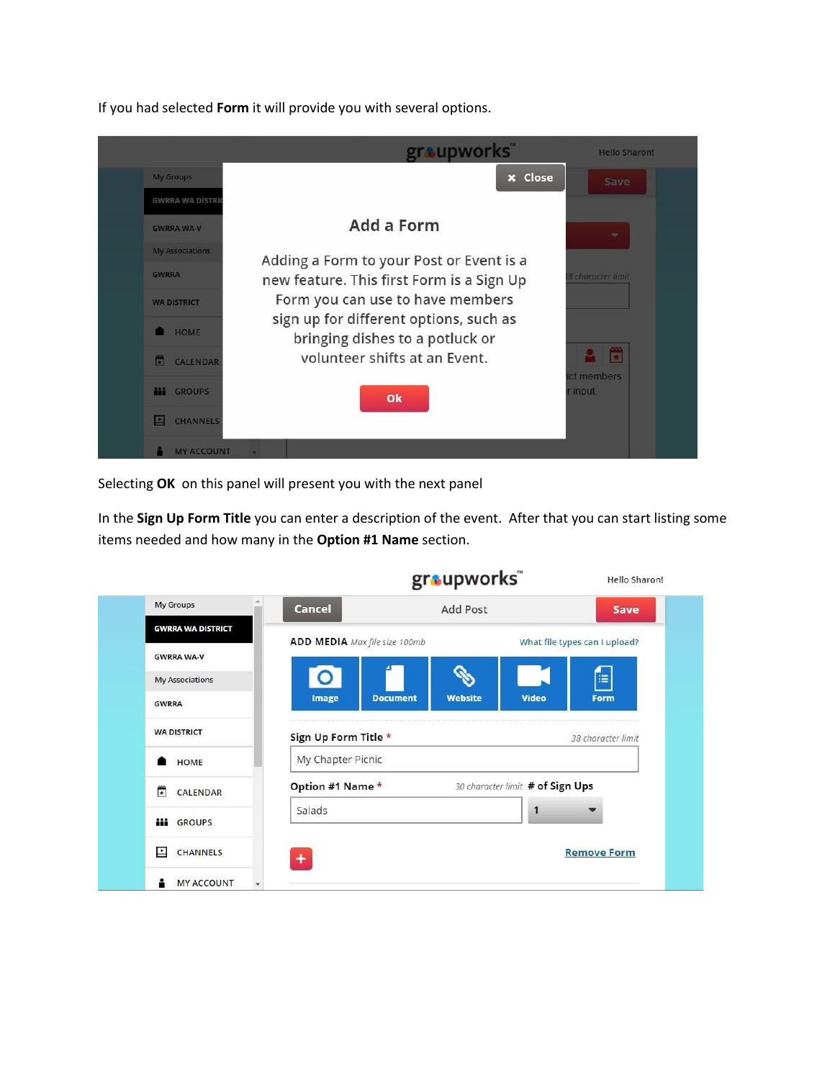If you had selected **Form** it will provide you with several options.



Selecting **OK** on this panel will present you with the next panel

In the **Sign Up Form Title** you can enter a description of the event. After that you can start listing some items needed and how many in the **Option #1 Name** section.

|                          | groupworks"                                | Hello Sharon!                    |
|--------------------------|--------------------------------------------|----------------------------------|
| <b>My Groups</b>         | Cancel<br><b>Add Post</b>                  | <b>Save</b>                      |
| <b>GWRRA WA DISTRICT</b> | ADD MEDIA Max file size 100mb              | What file types can I upload?    |
| <b>GWRRA WA-V</b>        |                                            |                                  |
| <b>My Associations</b>   | $\overline{O}$                             | 有                                |
| <b>GWRRA</b>             | <b>Website</b><br>Image<br><b>Document</b> | <b>Video</b><br>Form             |
| <b>WA DISTRICT</b>       | Sign Up Form Title *                       | 38 character limit               |
| HOME                     | My Chapter Picnic                          |                                  |
| F<br>CALENDAR            | Option #1 Name *                           | 30 character limit # of Sign Ups |
| m<br><b>GROUPS</b>       | Salads                                     | 1                                |
| H<br><b>CHANNELS</b>     |                                            | <b>Remove Form</b>               |
| <b>MY ACCOUNT</b>        |                                            |                                  |